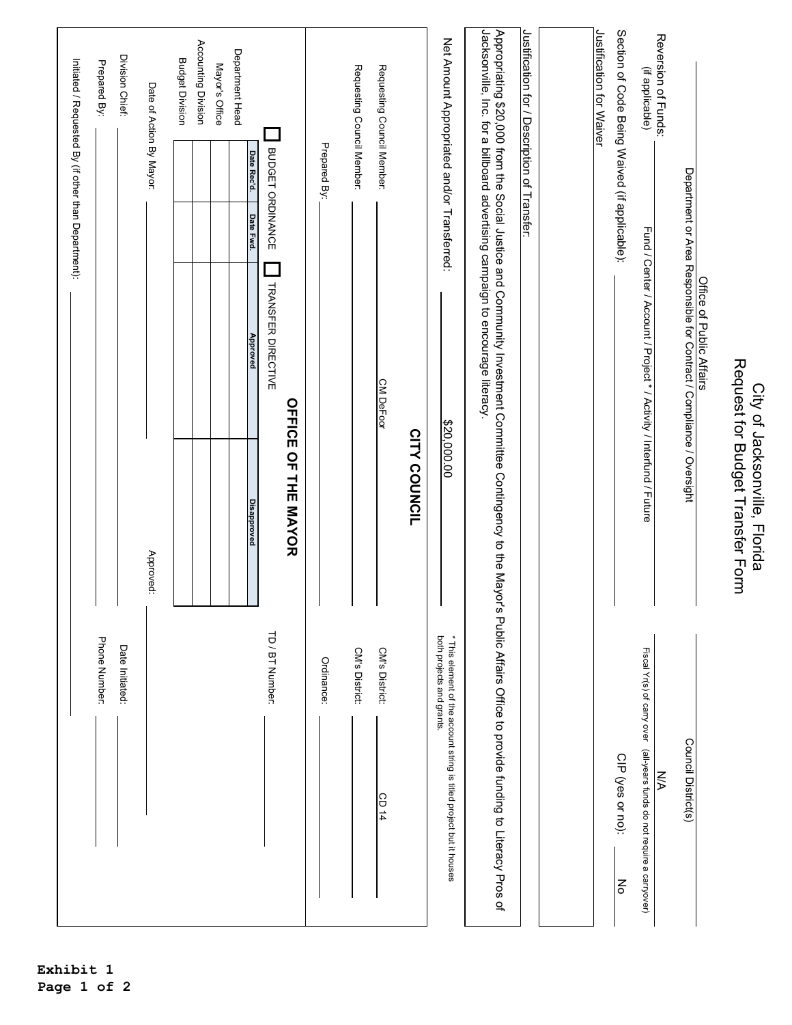|                                                                                                                                                                    |                           |                                                                   |                                                                                |           |                  | Initiated / Requested By (if other than Department): |
|--------------------------------------------------------------------------------------------------------------------------------------------------------------------|---------------------------|-------------------------------------------------------------------|--------------------------------------------------------------------------------|-----------|------------------|------------------------------------------------------|
|                                                                                                                                                                    | Phone Number:             |                                                                   |                                                                                |           |                  | Prepared By:                                         |
|                                                                                                                                                                    | Date Initiated:           |                                                                   |                                                                                |           |                  | Division Chief:                                      |
|                                                                                                                                                                    |                           | Approved:                                                         |                                                                                |           |                  | Date of Action By Mayor:                             |
|                                                                                                                                                                    |                           |                                                                   |                                                                                |           |                  | <b>Budget Division</b>                               |
|                                                                                                                                                                    |                           |                                                                   |                                                                                |           |                  | Accounting Division                                  |
|                                                                                                                                                                    |                           |                                                                   |                                                                                |           |                  | Mayor's Office                                       |
|                                                                                                                                                                    |                           | <b>Disapproved</b>                                                | Approved                                                                       | Date Fwd. | Date Rec'd.      | Department Head                                      |
|                                                                                                                                                                    | TD / BT Number:           |                                                                   | TRANSFER DIRECTIVE                                                             |           | BUDGET ORDINANCE |                                                      |
|                                                                                                                                                                    |                           | <b>OFTICE OF THE MAYOR</b>                                        |                                                                                |           |                  |                                                      |
|                                                                                                                                                                    | Ordinance:                |                                                                   |                                                                                |           | Prepared By:     |                                                      |
|                                                                                                                                                                    | CM's District:            |                                                                   |                                                                                |           |                  | Requesting Council Member:                           |
| CD 14                                                                                                                                                              | CM's District:            |                                                                   | <b>CM DeFoor</b>                                                               |           |                  | Requesting Council Member:                           |
|                                                                                                                                                                    |                           | <b>CITY COUNCIL</b>                                               |                                                                                |           |                  |                                                      |
| * This element of the account string is titled project but it houses                                                                                               | both projects and grants. | \$20,000.00                                                       |                                                                                |           |                  | Net Amount Appropriated and/or Transferred:          |
| Appropriating \$20,000 from the Social Justice and Commitive and Committee Contingency to the Mayor's Public Affairs Office to provide funding to Literacy Pros of |                           |                                                                   | Jacksonville, Inc. for a billboard advertising campaign to encourage literacy. |           |                  |                                                      |
|                                                                                                                                                                    |                           |                                                                   |                                                                                |           |                  | Justification for / Description of Transfer:         |
|                                                                                                                                                                    |                           |                                                                   |                                                                                |           |                  |                                                      |
|                                                                                                                                                                    |                           |                                                                   |                                                                                |           |                  | Justification for Waiver                             |
| CIP (yes or no):<br>$\mathsf{g}$                                                                                                                                   |                           |                                                                   |                                                                                |           |                  | Section of Code Being Waived (if applicable):        |
| Fiscal Yr(s) of carry over (all-years funds do not require a carryover)<br>УN                                                                                      |                           |                                                                   | Fund / Center / Account / Project * / Activity / Interfund / Future            |           |                  | Reversion of Funds:<br>(if applicable)               |
| Council District(s)                                                                                                                                                |                           |                                                                   | Department or Area Responsible for Contract / Compliance / Oversight           |           |                  |                                                      |
|                                                                                                                                                                    |                           |                                                                   | Office of Public Affairs                                                       |           |                  |                                                      |
|                                                                                                                                                                    |                           | Request for Budget Transfer Form<br>City of Jacksonville, Florida |                                                                                |           |                  |                                                      |